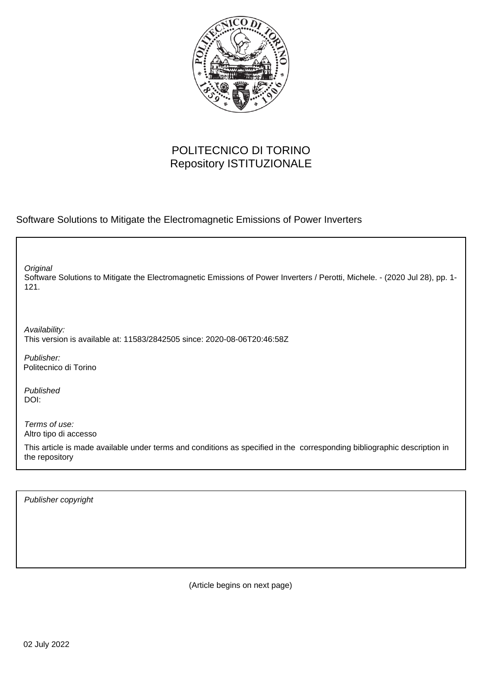

## POLITECNICO DI TORINO Repository ISTITUZIONALE

Software Solutions to Mitigate the Electromagnetic Emissions of Power Inverters

Software Solutions to Mitigate the Electromagnetic Emissions of Power Inverters / Perotti, Michele. - (2020 Jul 28), pp. 1- 121. **Original** 

Availability: This version is available at: 11583/2842505 since: 2020-08-06T20:46:58Z

Publisher: Politecnico di Torino

Published DOI:

Terms of use: Altro tipo di accesso

This article is made available under terms and conditions as specified in the corresponding bibliographic description in the repository

Publisher copyright

(Article begins on next page)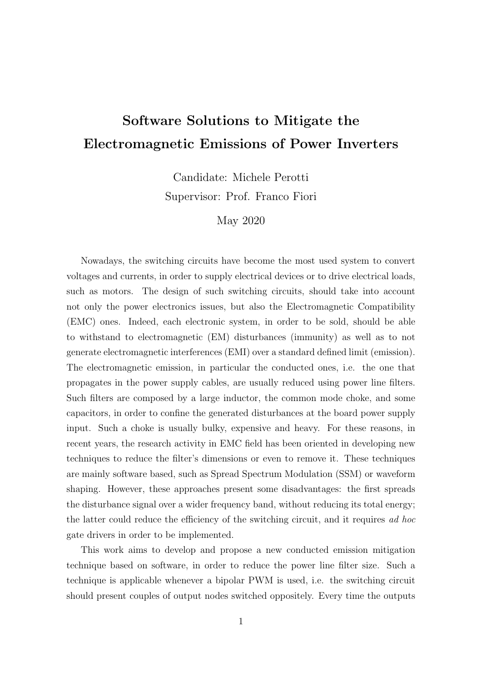## Software Solutions to Mitigate the Electromagnetic Emissions of Power Inverters

Candidate: Michele Perotti Supervisor: Prof. Franco Fiori

May 2020

Nowadays, the switching circuits have become the most used system to convert voltages and currents, in order to supply electrical devices or to drive electrical loads, such as motors. The design of such switching circuits, should take into account not only the power electronics issues, but also the Electromagnetic Compatibility (EMC) ones. Indeed, each electronic system, in order to be sold, should be able to withstand to electromagnetic (EM) disturbances (immunity) as well as to not generate electromagnetic interferences (EMI) over a standard defined limit (emission). The electromagnetic emission, in particular the conducted ones, i.e. the one that propagates in the power supply cables, are usually reduced using power line filters. Such filters are composed by a large inductor, the common mode choke, and some capacitors, in order to confine the generated disturbances at the board power supply input. Such a choke is usually bulky, expensive and heavy. For these reasons, in recent years, the research activity in EMC field has been oriented in developing new techniques to reduce the filter's dimensions or even to remove it. These techniques are mainly software based, such as Spread Spectrum Modulation (SSM) or waveform shaping. However, these approaches present some disadvantages: the first spreads the disturbance signal over a wider frequency band, without reducing its total energy; the latter could reduce the efficiency of the switching circuit, and it requires ad hoc gate drivers in order to be implemented.

This work aims to develop and propose a new conducted emission mitigation technique based on software, in order to reduce the power line filter size. Such a technique is applicable whenever a bipolar PWM is used, i.e. the switching circuit should present couples of output nodes switched oppositely. Every time the outputs